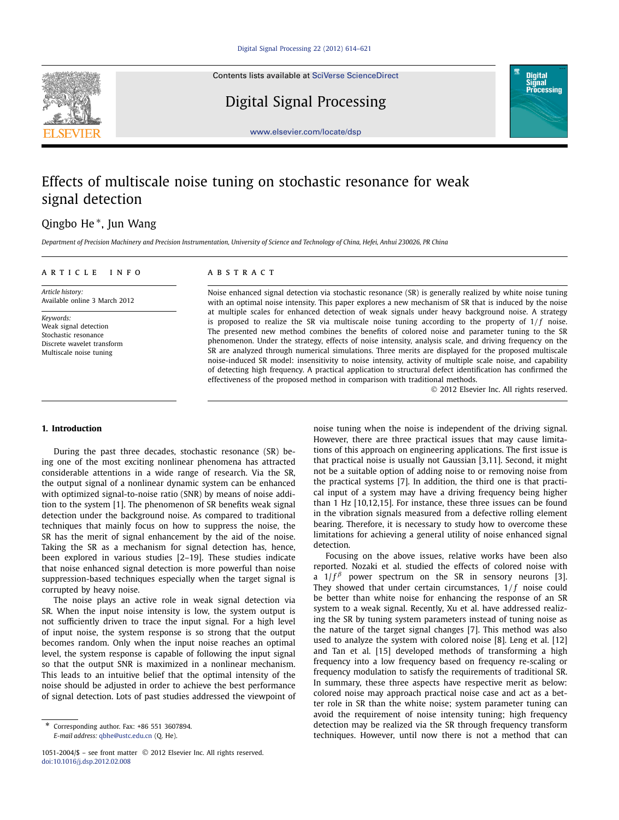Contents lists available at [SciVerse ScienceDirect](http://www.ScienceDirect.com/)



Digital Signal Processing



[www.elsevier.com/locate/dsp](http://www.elsevier.com/locate/dsp)

## Effects of multiscale noise tuning on stochastic resonance for weak signal detection

### Qingbo He <sup>∗</sup>, Jun Wang

*Department of Precision Machinery and Precision Instrumentation, University of Science and Technology of China, Hefei, Anhui 230026, PR China*

| ARTICLE INFO                  | A B S T R A C T                                                                                           |
|-------------------------------|-----------------------------------------------------------------------------------------------------------|
| Article history:              | Noise enhanced signal detection via stochastic resonance (SR) is generally realized by white noise tuning |
| Available online 3 March 2012 | with an optimal noise intensity. This paper explores a new mechanism of SR that is induced by the noise   |

*Keywords:* Weak signal detection Stochastic resonance Discrete wavelet transform Multiscale noise tuning

with an optimal noise intensity. This paper explores a new mechanism of SR that is induced by the noise at multiple scales for enhanced detection of weak signals under heavy background noise. A strategy is proposed to realize the SR via multiscale noise tuning according to the property of  $1/f$  noise. The presented new method combines the benefits of colored noise and parameter tuning to the SR phenomenon. Under the strategy, effects of noise intensity, analysis scale, and driving frequency on the SR are analyzed through numerical simulations. Three merits are displayed for the proposed multiscale noise-induced SR model: insensitivity to noise intensity, activity of multiple scale noise, and capability of detecting high frequency. A practical application to structural defect identification has confirmed the effectiveness of the proposed method in comparison with traditional methods.

© 2012 Elsevier Inc. All rights reserved.

#### **1. Introduction**

During the past three decades, stochastic resonance (SR) being one of the most exciting nonlinear phenomena has attracted considerable attentions in a wide range of research. Via the SR, the output signal of a nonlinear dynamic system can be enhanced with optimized signal-to-noise ratio (SNR) by means of noise addition to the system [1]. The phenomenon of SR benefits weak signal detection under the background noise. As compared to traditional techniques that mainly focus on how to suppress the noise, the SR has the merit of signal enhancement by the aid of the noise. Taking the SR as a mechanism for signal detection has, hence, been explored in various studies [2–19]. These studies indicate that noise enhanced signal detection is more powerful than noise suppression-based techniques especially when the target signal is corrupted by heavy noise.

The noise plays an active role in weak signal detection via SR. When the input noise intensity is low, the system output is not sufficiently driven to trace the input signal. For a high level of input noise, the system response is so strong that the output becomes random. Only when the input noise reaches an optimal level, the system response is capable of following the input signal so that the output SNR is maximized in a nonlinear mechanism. This leads to an intuitive belief that the optimal intensity of the noise should be adjusted in order to achieve the best performance of signal detection. Lots of past studies addressed the viewpoint of noise tuning when the noise is independent of the driving signal. However, there are three practical issues that may cause limitations of this approach on engineering applications. The first issue is that practical noise is usually not Gaussian [3,11]. Second, it might not be a suitable option of adding noise to or removing noise from the practical systems [7]. In addition, the third one is that practical input of a system may have a driving frequency being higher than 1 Hz [10,12,15]. For instance, these three issues can be found in the vibration signals measured from a defective rolling element bearing. Therefore, it is necessary to study how to overcome these limitations for achieving a general utility of noise enhanced signal detection.

Focusing on the above issues, relative works have been also reported. Nozaki et al. studied the effects of colored noise with a  $1/f^{\beta}$  power spectrum on the SR in sensory neurons [3]. They showed that under certain circumstances,  $1/f$  noise could be better than white noise for enhancing the response of an SR system to a weak signal. Recently, Xu et al. have addressed realizing the SR by tuning system parameters instead of tuning noise as the nature of the target signal changes [7]. This method was also used to analyze the system with colored noise [8]. Leng et al. [12] and Tan et al. [15] developed methods of transforming a high frequency into a low frequency based on frequency re-scaling or frequency modulation to satisfy the requirements of traditional SR. In summary, these three aspects have respective merit as below: colored noise may approach practical noise case and act as a better role in SR than the white noise; system parameter tuning can avoid the requirement of noise intensity tuning; high frequency detection may be realized via the SR through frequency transform techniques. However, until now there is not a method that can

<sup>\*</sup> Corresponding author. Fax: +86 551 3607894. *E-mail address:* [qbhe@ustc.edu.cn](mailto:qbhe@ustc.edu.cn) (Q. He).

<sup>1051-2004/\$ –</sup> see front matter © 2012 Elsevier Inc. All rights reserved. [doi:10.1016/j.dsp.2012.02.008](http://dx.doi.org/10.1016/j.dsp.2012.02.008)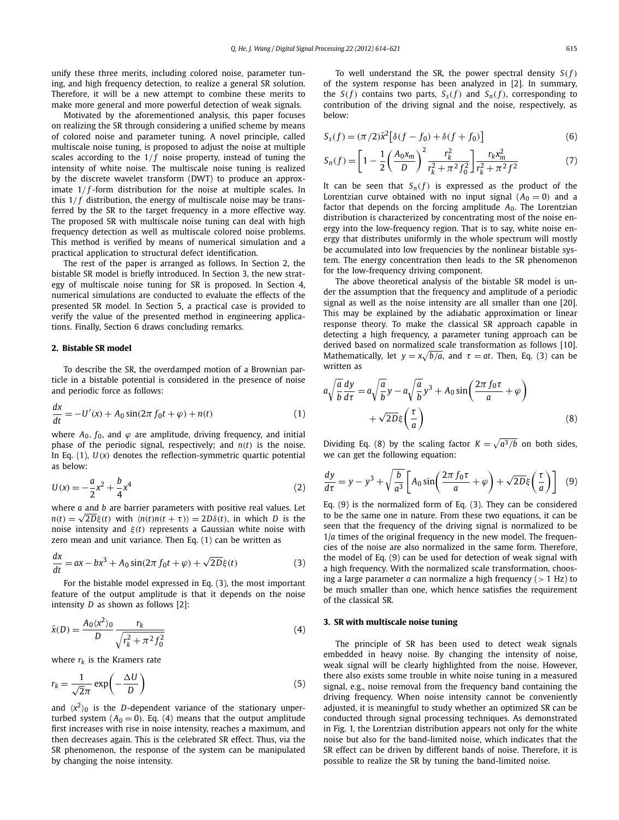unify these three merits, including colored noise, parameter tuning, and high frequency detection, to realize a general SR solution. Therefore, it will be a new attempt to combine these merits to make more general and more powerful detection of weak signals.

Motivated by the aforementioned analysis, this paper focuses on realizing the SR through considering a unified scheme by means of colored noise and parameter tuning. A novel principle, called multiscale noise tuning, is proposed to adjust the noise at multiple scales according to the  $1/f$  noise property, instead of tuning the intensity of white noise. The multiscale noise tuning is realized by the discrete wavelet transform (DWT) to produce an approximate 1/f-form distribution for the noise at multiple scales. In this  $1/f$  distribution, the energy of multiscale noise may be transferred by the SR to the target frequency in a more effective way. The proposed SR with multiscale noise tuning can deal with high frequency detection as well as multiscale colored noise problems. This method is verified by means of numerical simulation and a practical application to structural defect identification.

The rest of the paper is arranged as follows. In Section 2, the bistable SR model is briefly introduced. In Section 3, the new strategy of multiscale noise tuning for SR is proposed. In Section 4, numerical simulations are conducted to evaluate the effects of the presented SR model. In Section 5, a practical case is provided to verify the value of the presented method in engineering applications. Finally, Section 6 draws concluding remarks.

#### **2. Bistable SR model**

To describe the SR, the overdamped motion of a Brownian particle in a bistable potential is considered in the presence of noise and periodic force as follows:

$$
\frac{dx}{dt} = -U'(x) + A_0 \sin(2\pi f_0 t + \varphi) + n(t)
$$
\n(1)

where  $A_0$ ,  $f_0$ , and  $\varphi$  are amplitude, driving frequency, and initial phase of the periodic signal, respectively; and  $n(t)$  is the noise. In Eq.  $(1)$ ,  $U(x)$  denotes the reflection-symmetric quartic potential as below:

$$
U(x) = -\frac{a}{2}x^2 + \frac{b}{4}x^4
$$
 (2)

where *a* and *b* are barrier parameters with positive real values. Let  $n(t) = \sqrt{2D\xi(t)}$  with  $\langle n(t)n(t + \tau) \rangle = 2D\delta(t)$ , in which *D* is the noise intensity and *ξ(t)* represents a Gaussian white noise with zero mean and unit variance. Then Eq. (1) can be written as

$$
\frac{dx}{dt} = ax - bx^3 + A_0 \sin(2\pi f_0 t + \varphi) + \sqrt{2D}\xi(t)
$$
\n(3)

For the bistable model expressed in Eq. (3), the most important feature of the output amplitude is that it depends on the noise intensity *D* as shown as follows [2]:

$$
\bar{x}(D) = \frac{A_0 \langle x^2 \rangle_0}{D} \frac{r_k}{\sqrt{r_k^2 + \pi^2 f_0^2}}
$$
(4)

where  $r_k$  is the Kramers rate

$$
r_k = \frac{1}{\sqrt{2}\pi} \exp\left(-\frac{\Delta U}{D}\right) \tag{5}
$$

and  $\langle x^2 \rangle_0$  is the *D*-dependent variance of the stationary unperturbed system  $(A<sub>0</sub> = 0)$ . Eq. (4) means that the output amplitude first increases with rise in noise intensity, reaches a maximum, and then decreases again. This is the celebrated SR effect. Thus, via the SR phenomenon, the response of the system can be manipulated by changing the noise intensity.

To well understand the SR, the power spectral density  $S(f)$ of the system response has been analyzed in [2]. In summary, the *S*(*f*) contains two parts, *S<sub>s</sub>*(*f*) and *S<sub>n</sub>*(*f*), corresponding to contribution of the driving signal and the noise, respectively, as below:

$$
S_{s}(f) = (\pi/2)\bar{x}^{2}[\delta(f - f_{0}) + \delta(f + f_{0})]
$$
\n(6)

$$
S_n(f) = \left[1 - \frac{1}{2} \left(\frac{A_0 x_m}{D}\right)^2 \frac{r_k^2}{r_k^2 + \pi^2 f_0^2}\right] \frac{r_k x_m^2}{r_k^2 + \pi^2 f^2}
$$
(7)

It can be seen that  $S_n(f)$  is expressed as the product of the Lorentzian curve obtained with no input signal  $(A<sub>0</sub> = 0)$  and a factor that depends on the forcing amplitude *A*0. The Lorentzian distribution is characterized by concentrating most of the noise energy into the low-frequency region. That is to say, white noise energy that distributes uniformly in the whole spectrum will mostly be accumulated into low frequencies by the nonlinear bistable system. The energy concentration then leads to the SR phenomenon for the low-frequency driving component.

The above theoretical analysis of the bistable SR model is under the assumption that the frequency and amplitude of a periodic signal as well as the noise intensity are all smaller than one [20]. This may be explained by the adiabatic approximation or linear response theory. To make the classical SR approach capable in detecting a high frequency, a parameter tuning approach can be derived based on normalized scale transformation as follows [10]. Mathematically, let  $y = x\sqrt{b/a}$ , and  $\tau = at$ . Then, Eq. (3) can be written as

$$
a\sqrt{\frac{a}{b}}\frac{dy}{d\tau} = a\sqrt{\frac{a}{b}}y - a\sqrt{\frac{a}{b}}y^3 + A_0\sin\left(\frac{2\pi f_0\tau}{a} + \varphi\right) + \sqrt{2D}\xi\left(\frac{\tau}{a}\right)
$$
\n(8)

Dividing Eq. (8) by the scaling factor  $K = \sqrt{a^3/b}$  on both sides, we can get the following equation:

$$
\frac{dy}{d\tau} = y - y^3 + \sqrt{\frac{b}{a^3}} \left[ A_0 \sin\left(\frac{2\pi f_0 \tau}{a} + \varphi\right) + \sqrt{2D}\xi\left(\frac{\tau}{a}\right) \right] \tag{9}
$$

Eq. (9) is the normalized form of Eq. (3). They can be considered to be the same one in nature. From these two equations, it can be seen that the frequency of the driving signal is normalized to be 1/*a* times of the original frequency in the new model. The frequencies of the noise are also normalized in the same form. Therefore, the model of Eq. (9) can be used for detection of weak signal with a high frequency. With the normalized scale transformation, choosing a large parameter *a* can normalize a high frequency (*>* 1 Hz) to be much smaller than one, which hence satisfies the requirement of the classical SR.

#### **3. SR with multiscale noise tuning**

The principle of SR has been used to detect weak signals embedded in heavy noise. By changing the intensity of noise, weak signal will be clearly highlighted from the noise. However, there also exists some trouble in white noise tuning in a measured signal, e.g., noise removal from the frequency band containing the driving frequency. When noise intensity cannot be conveniently adjusted, it is meaningful to study whether an optimized SR can be conducted through signal processing techniques. As demonstrated in Fig. 1, the Lorentzian distribution appears not only for the white noise but also for the band-limited noise, which indicates that the SR effect can be driven by different bands of noise. Therefore, it is possible to realize the SR by tuning the band-limited noise.